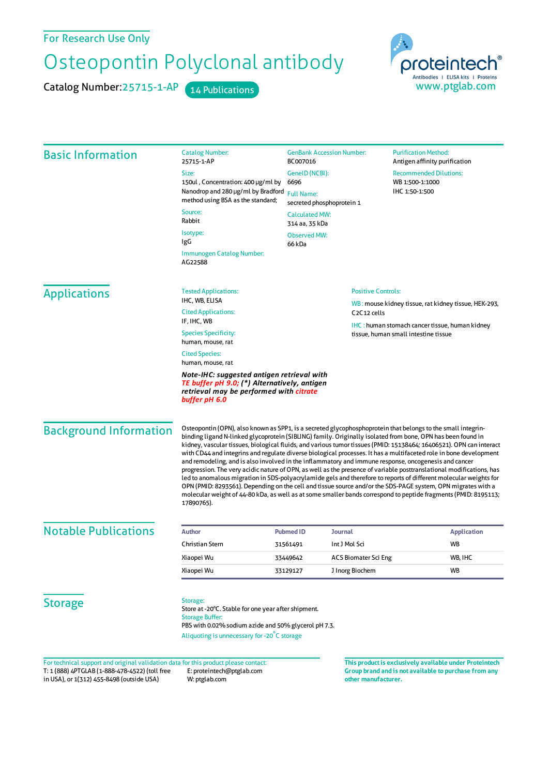## Osteopontin Polyclonal antibody

Catalog Number: 25715-1-AP 14 Publications



| 150ul, Concentration: 400 µg/ml by<br>6696<br>Nanodrop and 280 µg/ml by Bradford<br>method using BSA as the standard;<br>66 kDa<br>Immunogen Catalog Number:<br><b>Tested Applications:</b><br>Note-IHC: suggested antigen retrieval with<br>TE buffer pH 9.0; (*) Alternatively, antigen<br>retrieval may be performed with citrate | GenelD (NCBI):<br><b>Full Name:</b><br>secreted phosphoprotein 1<br><b>Calculated MW:</b><br>314 aa, 35 kDa<br><b>Observed MW:</b><br>C <sub>2</sub> C <sub>12</sub> cells | <b>Recommended Dilutions:</b><br>WB 1:500-1:1000<br>IHC 1:50-1:500<br><b>Positive Controls:</b><br>WB: mouse kidney tissue, rat kidney tissue, HEK-293,<br><b>IHC:</b> human stomach cancer tissue, human kidney<br>tissue, human small intestine tissue<br>Osteopontin (OPN), also known as SPP1, is a secreted glycophosphoprotein that belongs to the small integrin-                                                                                                                                                                                                                                                                                                                                                                                                                                                                                                                                                                        |
|--------------------------------------------------------------------------------------------------------------------------------------------------------------------------------------------------------------------------------------------------------------------------------------------------------------------------------------|----------------------------------------------------------------------------------------------------------------------------------------------------------------------------|-------------------------------------------------------------------------------------------------------------------------------------------------------------------------------------------------------------------------------------------------------------------------------------------------------------------------------------------------------------------------------------------------------------------------------------------------------------------------------------------------------------------------------------------------------------------------------------------------------------------------------------------------------------------------------------------------------------------------------------------------------------------------------------------------------------------------------------------------------------------------------------------------------------------------------------------------|
|                                                                                                                                                                                                                                                                                                                                      |                                                                                                                                                                            |                                                                                                                                                                                                                                                                                                                                                                                                                                                                                                                                                                                                                                                                                                                                                                                                                                                                                                                                                 |
|                                                                                                                                                                                                                                                                                                                                      |                                                                                                                                                                            |                                                                                                                                                                                                                                                                                                                                                                                                                                                                                                                                                                                                                                                                                                                                                                                                                                                                                                                                                 |
|                                                                                                                                                                                                                                                                                                                                      |                                                                                                                                                                            |                                                                                                                                                                                                                                                                                                                                                                                                                                                                                                                                                                                                                                                                                                                                                                                                                                                                                                                                                 |
|                                                                                                                                                                                                                                                                                                                                      |                                                                                                                                                                            |                                                                                                                                                                                                                                                                                                                                                                                                                                                                                                                                                                                                                                                                                                                                                                                                                                                                                                                                                 |
|                                                                                                                                                                                                                                                                                                                                      |                                                                                                                                                                            |                                                                                                                                                                                                                                                                                                                                                                                                                                                                                                                                                                                                                                                                                                                                                                                                                                                                                                                                                 |
|                                                                                                                                                                                                                                                                                                                                      |                                                                                                                                                                            |                                                                                                                                                                                                                                                                                                                                                                                                                                                                                                                                                                                                                                                                                                                                                                                                                                                                                                                                                 |
|                                                                                                                                                                                                                                                                                                                                      |                                                                                                                                                                            |                                                                                                                                                                                                                                                                                                                                                                                                                                                                                                                                                                                                                                                                                                                                                                                                                                                                                                                                                 |
|                                                                                                                                                                                                                                                                                                                                      |                                                                                                                                                                            |                                                                                                                                                                                                                                                                                                                                                                                                                                                                                                                                                                                                                                                                                                                                                                                                                                                                                                                                                 |
|                                                                                                                                                                                                                                                                                                                                      |                                                                                                                                                                            |                                                                                                                                                                                                                                                                                                                                                                                                                                                                                                                                                                                                                                                                                                                                                                                                                                                                                                                                                 |
|                                                                                                                                                                                                                                                                                                                                      |                                                                                                                                                                            |                                                                                                                                                                                                                                                                                                                                                                                                                                                                                                                                                                                                                                                                                                                                                                                                                                                                                                                                                 |
|                                                                                                                                                                                                                                                                                                                                      |                                                                                                                                                                            |                                                                                                                                                                                                                                                                                                                                                                                                                                                                                                                                                                                                                                                                                                                                                                                                                                                                                                                                                 |
|                                                                                                                                                                                                                                                                                                                                      |                                                                                                                                                                            |                                                                                                                                                                                                                                                                                                                                                                                                                                                                                                                                                                                                                                                                                                                                                                                                                                                                                                                                                 |
|                                                                                                                                                                                                                                                                                                                                      |                                                                                                                                                                            |                                                                                                                                                                                                                                                                                                                                                                                                                                                                                                                                                                                                                                                                                                                                                                                                                                                                                                                                                 |
|                                                                                                                                                                                                                                                                                                                                      |                                                                                                                                                                            | binding ligand N-linked glycoprotein (SIBLING) family. Originally isolated from bone, OPN has been found in<br>kidney, vascular tissues, biological fluids, and various tumor tissues (PMID: 15138464; 16406521). OPN can interact<br>with CD44 and integrins and regulate diverse biological processes. It has a multifaceted role in bone development<br>and remodeling, and is also involved in the inflammatory and immune response, oncogenesis and cancer<br>progression. The very acidic nature of OPN, as well as the presence of variable posttranslational modifications, has<br>led to anomalous migration in SDS-polyacrylamide gels and therefore to reports of different molecular weights for<br>OPN (PMID: 8293561). Depending on the cell and tissue source and/or the SDS-PAGE system, OPN migrates with a<br>molecular weight of 44-80 kDa, as well as at some smaller bands correspond to peptide fragments (PMID: 8195113; |
|                                                                                                                                                                                                                                                                                                                                      |                                                                                                                                                                            |                                                                                                                                                                                                                                                                                                                                                                                                                                                                                                                                                                                                                                                                                                                                                                                                                                                                                                                                                 |
|                                                                                                                                                                                                                                                                                                                                      |                                                                                                                                                                            | <b>Application</b><br><b>WB</b>                                                                                                                                                                                                                                                                                                                                                                                                                                                                                                                                                                                                                                                                                                                                                                                                                                                                                                                 |
|                                                                                                                                                                                                                                                                                                                                      |                                                                                                                                                                            | WB, IHC                                                                                                                                                                                                                                                                                                                                                                                                                                                                                                                                                                                                                                                                                                                                                                                                                                                                                                                                         |
|                                                                                                                                                                                                                                                                                                                                      |                                                                                                                                                                            | <b>WB</b>                                                                                                                                                                                                                                                                                                                                                                                                                                                                                                                                                                                                                                                                                                                                                                                                                                                                                                                                       |
|                                                                                                                                                                                                                                                                                                                                      |                                                                                                                                                                            |                                                                                                                                                                                                                                                                                                                                                                                                                                                                                                                                                                                                                                                                                                                                                                                                                                                                                                                                                 |
|                                                                                                                                                                                                                                                                                                                                      |                                                                                                                                                                            |                                                                                                                                                                                                                                                                                                                                                                                                                                                                                                                                                                                                                                                                                                                                                                                                                                                                                                                                                 |
|                                                                                                                                                                                                                                                                                                                                      |                                                                                                                                                                            | <b>Journal</b><br><b>Pubmed ID</b><br>31561491<br>Int J Mol Sci<br>33449642<br><b>ACS Biomater Sci Eng</b><br>J Inorg Biochem<br>33129127<br>Store at -20°C. Stable for one year after shipment.                                                                                                                                                                                                                                                                                                                                                                                                                                                                                                                                                                                                                                                                                                                                                |

T: 1 (888) 4PTGLAB (1-888-478-4522) (toll free in USA), or 1(312) 455-8498 (outside USA) E: proteintech@ptglab.com W: ptglab.com Fortechnical support and original validation data forthis product please contact: **This productis exclusively available under Proteintech**

**Group brand and is not available to purchase from any other manufacturer.**